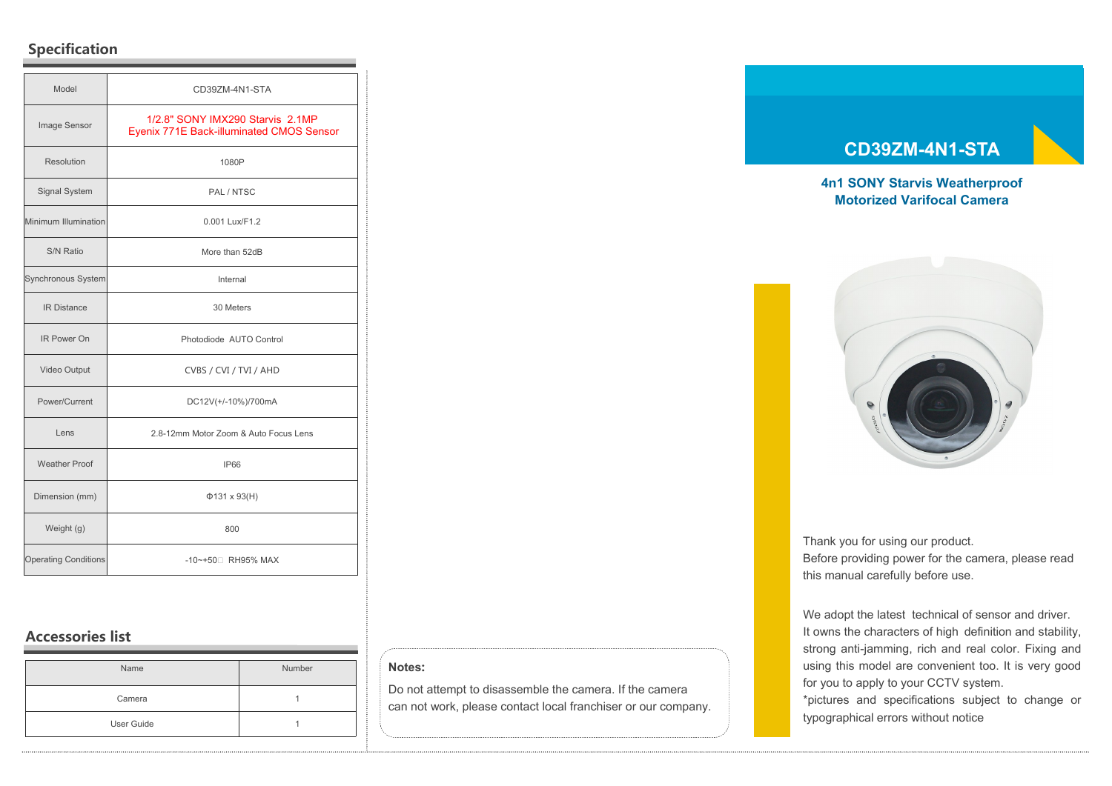# **Specification**

| Model                       | CD39ZM-4N1-STA                                                               |
|-----------------------------|------------------------------------------------------------------------------|
| Image Sensor                | 1/2.8" SONY IMX290 Starvis 2.1MP<br>Eyenix 771E Back-illuminated CMOS Sensor |
| Resolution                  | 1080P                                                                        |
| <b>Signal System</b>        | PAL / NTSC                                                                   |
| Minimum Illumination        | 0.001 Lux/F1.2                                                               |
| S/N Ratio                   | More than 52dB                                                               |
| Synchronous System          | Internal                                                                     |
| <b>IR Distance</b>          | 30 Meters                                                                    |
| <b>IR Power On</b>          | Photodiode AUTO Control                                                      |
| Video Output                | CVBS / CVI / TVI / AHD                                                       |
| Power/Current               | DC12V(+/-10%)/700mA                                                          |
| Lens                        | 2.8-12mm Motor Zoom & Auto Focus Lens                                        |
| <b>Weather Proof</b>        | <b>IP66</b>                                                                  |
| Dimension (mm)              | $\Phi$ 131 x 93(H)                                                           |
| Weight (g)                  | 800                                                                          |
| <b>Operating Conditions</b> | -10~+50 RH95% MAX                                                            |

# **Accessories list**

| Name       | Number |
|------------|--------|
| Camera     |        |
| User Guide |        |

## **Notes:**

Do not attempt to disassemble the camera. If the camera can not work, please contact local franchiser or our company.

## **CD39ZM-4N1-STA**

## **4n1 SONY Starvis Weatherproof Motorized Varifocal Camera**



Thank you for using our product. Before providing power for the camera, please read this manual carefully before use.

We adopt the latest technical of sensor and driver. It owns the characters of high definition and stability, strong anti-jamming, rich and real color. Fixing and using this model are convenient too. It is very good for you to apply to your CCTV system. \*pictures and specifications subject to change or typographical errors without notice